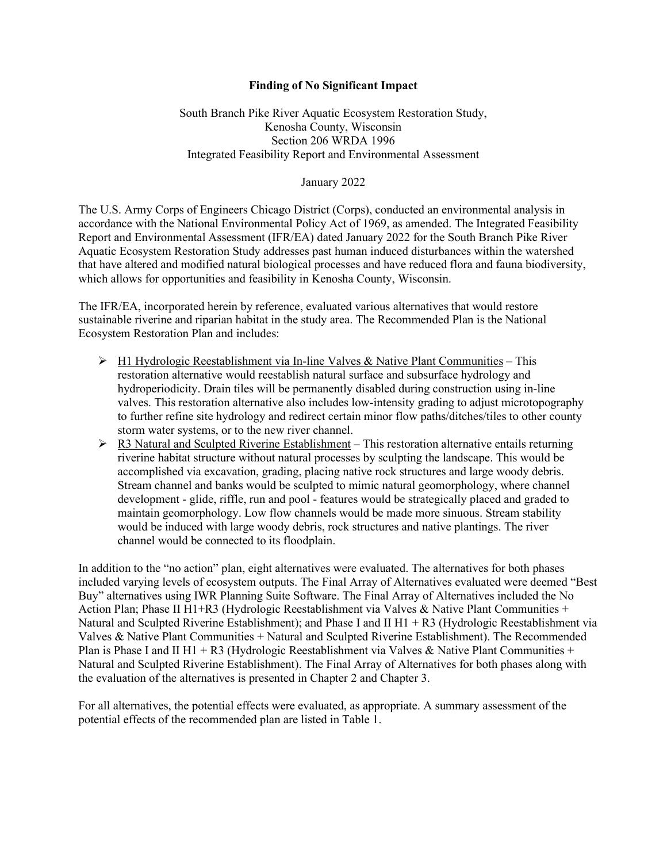## **Finding of No Significant Impact**

South Branch Pike River Aquatic Ecosystem Restoration Study, Kenosha County, Wisconsin Section 206 WRDA 1996 Integrated Feasibility Report and Environmental Assessment

## January 2022

The U.S. Army Corps of Engineers Chicago District (Corps), conducted an environmental analysis in accordance with the National Environmental Policy Act of 1969, as amended. The Integrated Feasibility Report and Environmental Assessment (IFR/EA) dated January 2022 for the South Branch Pike River Aquatic Ecosystem Restoration Study addresses past human induced disturbances within the watershed that have altered and modified natural biological processes and have reduced flora and fauna biodiversity, which allows for opportunities and feasibility in Kenosha County, Wisconsin.

The IFR/EA, incorporated herein by reference, evaluated various alternatives that would restore sustainable riverine and riparian habitat in the study area. The Recommended Plan is the National Ecosystem Restoration Plan and includes:

- $\triangleright$  H1 Hydrologic Reestablishment via In-line Valves & Native Plant Communities This restoration alternative would reestablish natural surface and subsurface hydrology and hydroperiodicity. Drain tiles will be permanently disabled during construction using in-line valves. This restoration alternative also includes low-intensity grading to adjust microtopography to further refine site hydrology and redirect certain minor flow paths/ditches/tiles to other county storm water systems, or to the new river channel.
- $\triangleright$  R3 Natural and Sculpted Riverine Establishment This restoration alternative entails returning riverine habitat structure without natural processes by sculpting the landscape. This would be accomplished via excavation, grading, placing native rock structures and large woody debris. Stream channel and banks would be sculpted to mimic natural geomorphology, where channel development - glide, riffle, run and pool - features would be strategically placed and graded to maintain geomorphology. Low flow channels would be made more sinuous. Stream stability would be induced with large woody debris, rock structures and native plantings. The river channel would be connected to its floodplain.

In addition to the "no action" plan, eight alternatives were evaluated. The alternatives for both phases included varying levels of ecosystem outputs. The Final Array of Alternatives evaluated were deemed "Best Buy" alternatives using IWR Planning Suite Software. The Final Array of Alternatives included the No Action Plan; Phase II H1+R3 (Hydrologic Reestablishment via Valves & Native Plant Communities + Natural and Sculpted Riverine Establishment); and Phase I and II H1 + R3 (Hydrologic Reestablishment via Valves & Native Plant Communities + Natural and Sculpted Riverine Establishment). The Recommended Plan is Phase I and II H1 + R3 (Hydrologic Reestablishment via Valves & Native Plant Communities + Natural and Sculpted Riverine Establishment). The Final Array of Alternatives for both phases along with the evaluation of the alternatives is presented in Chapter 2 and Chapter 3.

For all alternatives, the potential effects were evaluated, as appropriate. A summary assessment of the potential effects of the recommended plan are listed in Table 1.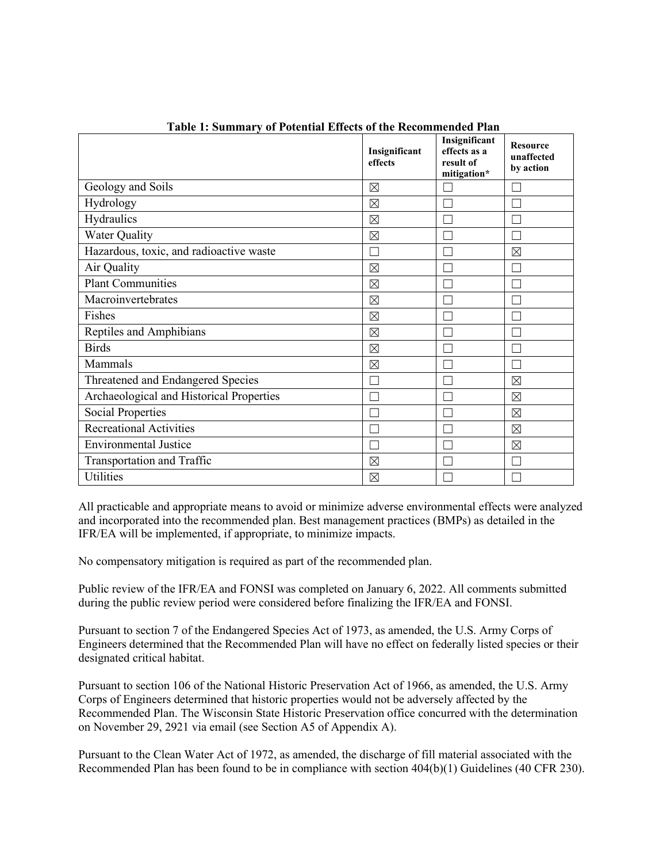| гаэн н эашшагу огт онлын Енглээ ог нь тегонингийн г |                          | Insignificant                            |                                            |
|-----------------------------------------------------|--------------------------|------------------------------------------|--------------------------------------------|
|                                                     | Insignificant<br>effects | effects as a<br>result of<br>mitigation* | <b>Resource</b><br>unaffected<br>by action |
| Geology and Soils                                   | $\boxtimes$              |                                          |                                            |
| Hydrology                                           | $\boxtimes$              |                                          |                                            |
| Hydraulics                                          | $\boxtimes$              |                                          |                                            |
| <b>Water Quality</b>                                | $\boxtimes$              |                                          |                                            |
| Hazardous, toxic, and radioactive waste             |                          |                                          | $\boxtimes$                                |
| Air Quality                                         | $\boxtimes$              |                                          |                                            |
| <b>Plant Communities</b>                            | $\boxtimes$              |                                          |                                            |
| Macroinvertebrates                                  | $\boxtimes$              |                                          |                                            |
| Fishes                                              | $\boxtimes$              |                                          |                                            |
| Reptiles and Amphibians                             | $\boxtimes$              |                                          |                                            |
| <b>Birds</b>                                        | $\boxtimes$              |                                          |                                            |
| Mammals                                             | $\boxtimes$              |                                          |                                            |
| Threatened and Endangered Species                   |                          |                                          | $\boxtimes$                                |
| Archaeological and Historical Properties            |                          |                                          | $\boxtimes$                                |
| <b>Social Properties</b>                            |                          |                                          | $\boxtimes$                                |
| <b>Recreational Activities</b>                      | $\Box$                   |                                          | $\boxtimes$                                |
| <b>Environmental Justice</b>                        | l.                       |                                          | $\boxtimes$                                |
| Transportation and Traffic                          | $\boxtimes$              |                                          |                                            |
| <b>Utilities</b>                                    | $\boxtimes$              |                                          |                                            |

**Table 1: Summary of Potential Effects of the Recommended Plan**

All practicable and appropriate means to avoid or minimize adverse environmental effects were analyzed and incorporated into the recommended plan. Best management practices (BMPs) as detailed in the IFR/EA will be implemented, if appropriate, to minimize impacts.

No compensatory mitigation is required as part of the recommended plan.

Public review of the IFR/EA and FONSI was completed on January 6, 2022. All comments submitted during the public review period were considered before finalizing the IFR/EA and FONSI.

Pursuant to section 7 of the Endangered Species Act of 1973, as amended, the U.S. Army Corps of Engineers determined that the Recommended Plan will have no effect on federally listed species or their designated critical habitat.

Pursuant to section 106 of the National Historic Preservation Act of 1966, as amended, the U.S. Army Corps of Engineers determined that historic properties would not be adversely affected by the Recommended Plan. The Wisconsin State Historic Preservation office concurred with the determination on November 29, 2921 via email (see Section A5 of Appendix A).

Pursuant to the Clean Water Act of 1972, as amended, the discharge of fill material associated with the Recommended Plan has been found to be in compliance with section 404(b)(1) Guidelines (40 CFR 230).